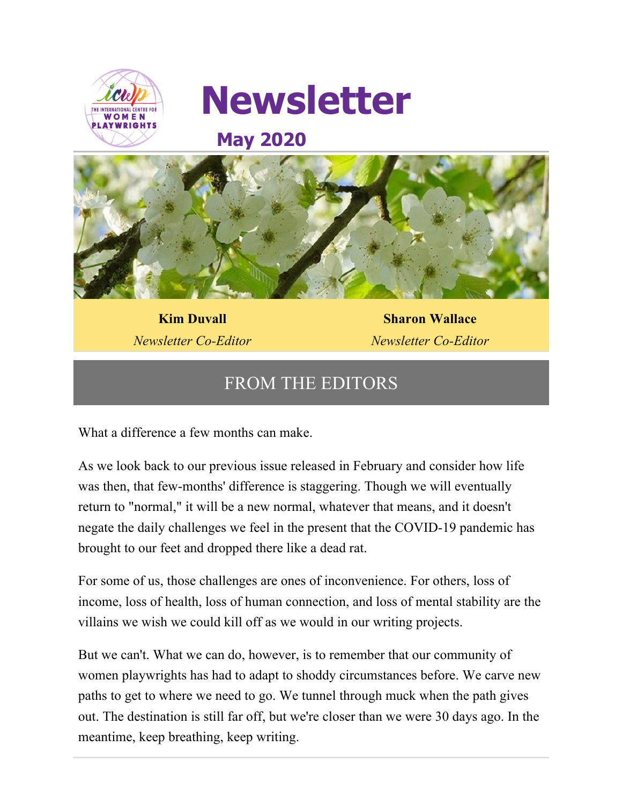



# **May 2020**



**Kim Duvall** *Newsletter Co-Editor*

**Sharon Wallace** *Newsletter Co-Editor*

# FROM THE EDITORS

What a difference a few months can make.

As we look back to our previous issue released in February and consider how life was then, that few-months' difference is staggering. Though we will eventually return to "normal," it will be a new normal, whatever that means, and it doesn't negate the daily challenges we feel in the present that the COVID-19 pandemic has brought to our feet and dropped there like a dead rat.

For some of us, those challenges are ones of inconvenience. For others, loss of income, loss of health, loss of human connection, and loss of mental stability are the villains we wish we could kill off as we would in our writing projects.

But we can't. What we can do, however, is to remember that our community of women playwrights has had to adapt to shoddy circumstances before. We carve new paths to get to where we need to go. We tunnel through muck when the path gives out. The destination is still far off, but we're closer than we were 30 days ago. In the meantime, keep breathing, keep writing.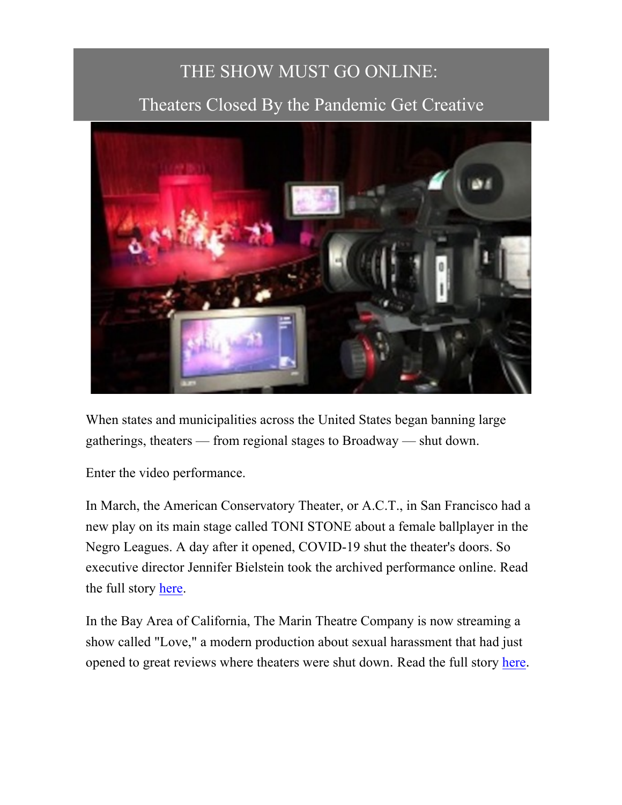# THE SHOW MUST GO ONLINE:

# Theaters Closed By the Pandemic Get Creative



When states and municipalities across the United States began banning large gatherings, theaters — from regional stages to Broadway — shut down.

Enter the video performance.

In March, the American Conservatory Theater, or A.C.T., in San Francisco had a new play on its main stage called TONI STONE about a female ballplayer in the Negro Leagues. A day after it opened, COVID-19 shut the theater's doors. So executive director Jennifer Bielstein took the archived performance online. Read the full story here.

In the Bay Area of California, The Marin Theatre Company is now streaming a show called "Love," a modern production about sexual harassment that had just opened to great reviews where theaters were shut down. Read the full story here.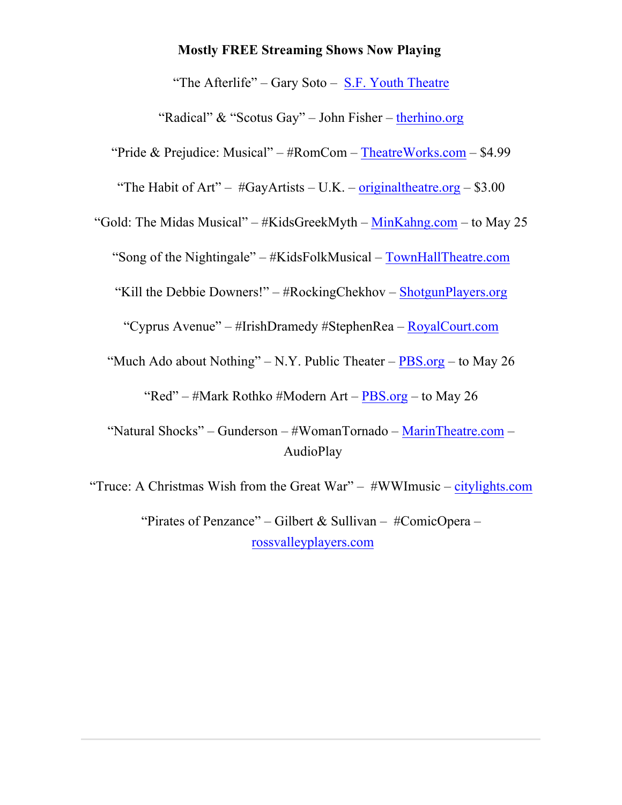#### **Mostly FREE Streaming Shows Now Playing**

"The Afterlife" – Gary Soto – S.F. Youth Theatre

"Radical" & "Scotus Gay" – John Fisher – therhino.org

"Pride & Prejudice: Musical" – #RomCom – TheatreWorks.com – \$4.99

"The Habit of Art" –  $\#GavAtists - U.K.$  – original theatre.org – \$3.00

"Gold: The Midas Musical" – #KidsGreekMyth – MinKahng.com – to May 25

"Song of the Nightingale" – #KidsFolkMusical – TownHallTheatre.com

"Kill the Debbie Downers!" – #RockingChekhov – ShotgunPlayers.org

"Cyprus Avenue" – #IrishDramedy #StephenRea – RoyalCourt.com

"Much Ado about Nothing" – N.Y. Public Theater –  $PBS.org -$  to May 26

"Red" – #Mark Rothko #Modern Art –  $PBS.org -$  to May 26

"Natural Shocks" – Gunderson – #WomanTornado – MarinTheatre.com – AudioPlay

"Truce: A Christmas Wish from the Great War" –  $#WW$ Imusic – citylights.com

"Pirates of Penzance" – Gilbert & Sullivan – #ComicOpera – rossvalleyplayers.com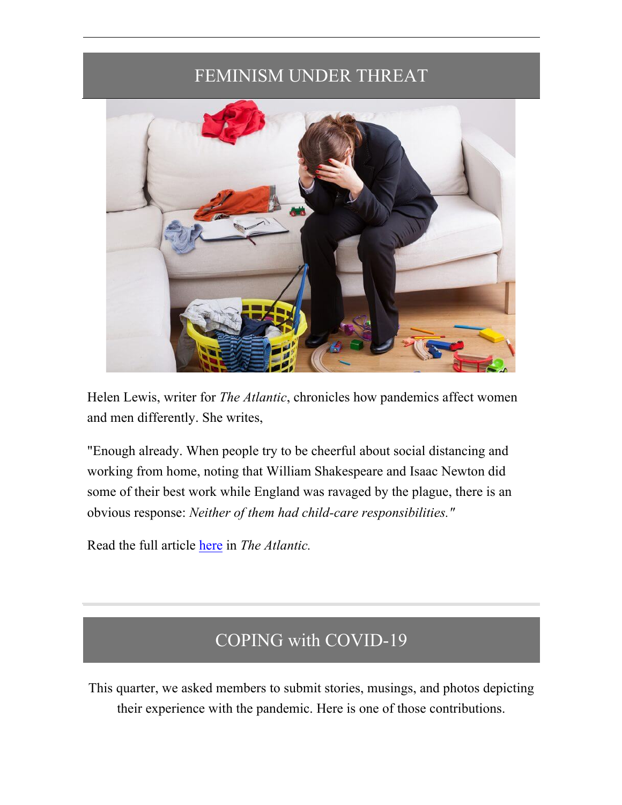## FEMINISM UNDER THREAT



Helen Lewis, writer for *The Atlantic*, chronicles how pandemics affect women and men differently. She writes,

"Enough already. When people try to be cheerful about social distancing and working from home, noting that William Shakespeare and Isaac Newton did some of their best work while England was ravaged by the plague, there is an obvious response: *Neither of them had child-care responsibilities."*

Read the full article here in *The Atlantic.*

## COPING with COVID-19

This quarter, we asked members to submit stories, musings, and photos depicting their experience with the pandemic. Here is one of those contributions.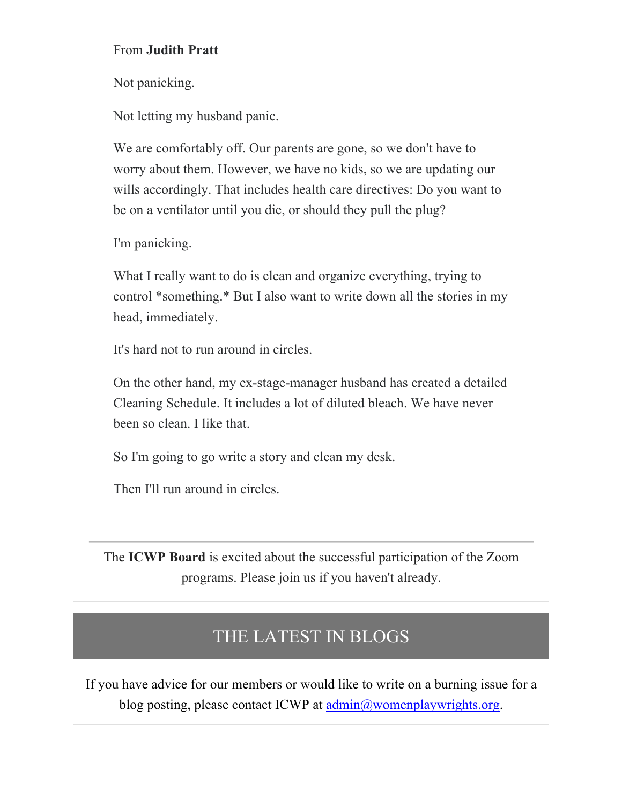### From **Judith Pratt**

Not panicking.

Not letting my husband panic.

We are comfortably off. Our parents are gone, so we don't have to worry about them. However, we have no kids, so we are updating our wills accordingly. That includes health care directives: Do you want to be on a ventilator until you die, or should they pull the plug?

I'm panicking.

What I really want to do is clean and organize everything, trying to control \*something.\* But I also want to write down all the stories in my head, immediately.

It's hard not to run around in circles.

On the other hand, my ex-stage-manager husband has created a detailed Cleaning Schedule. It includes a lot of diluted bleach. We have never been so clean. I like that.

So I'm going to go write a story and clean my desk.

Then I'll run around in circles.

The **ICWP Board** is excited about the successful participation of the Zoom programs. Please join us if you haven't already.

### THE LATEST IN BLOGS

If you have advice for our members or would like to write on a burning issue for a blog posting, please contact ICWP at admin@womenplaywrights.org.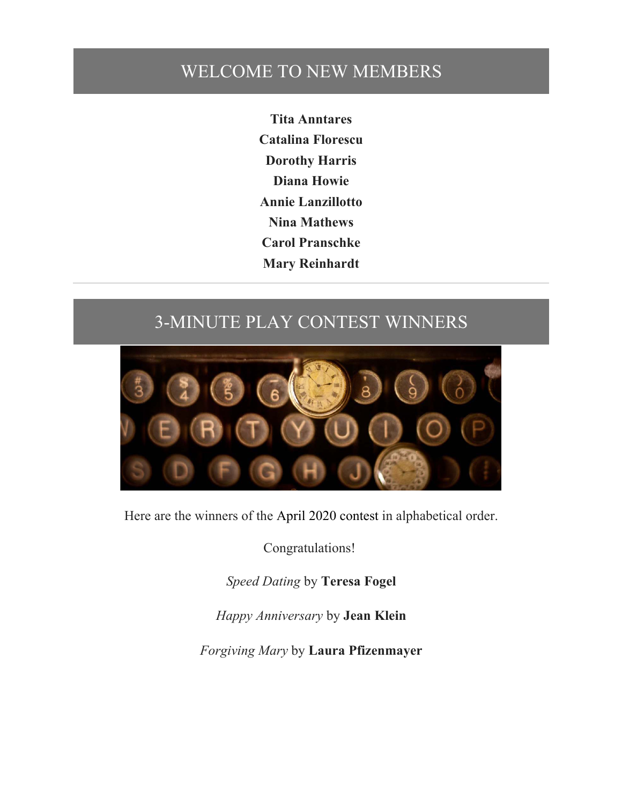### WELCOME TO NEW MEMBERS

**Tita Anntares Catalina Florescu Dorothy Harris Diana Howie Annie Lanzillotto Nina Mathews Carol Pranschke Mary Reinhardt**

# 3-MINUTE PLAY CONTEST WINNERS



Here are the winners of the April 2020 contest in alphabetical order.

Congratulations!

*Speed Dating* by **Teresa Fogel**

*Happy Anniversary* by **Jean Klein**

*Forgiving Mary* by **Laura Pfizenmayer**